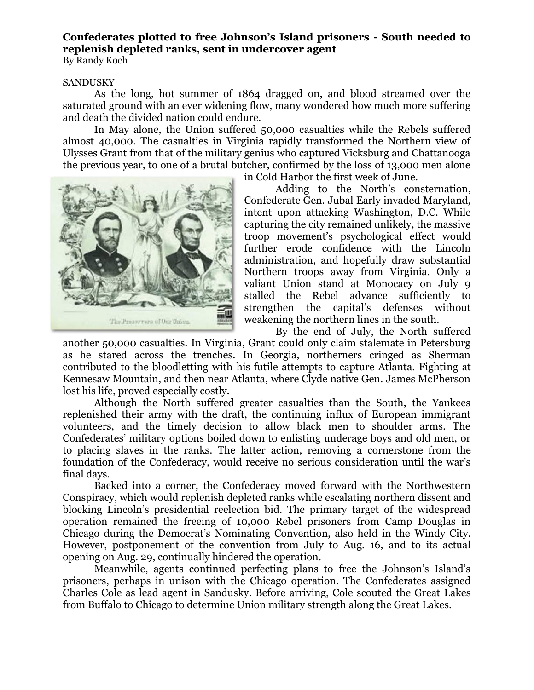## **Confederates plotted to free Johnson's Island prisoners - South needed to replenish depleted ranks, sent in undercover agent**

By Randy Koch

## SANDUSKY

As the long, hot summer of 1864 dragged on, and blood streamed over the saturated ground with an ever widening flow, many wondered how much more suffering and death the divided nation could endure.

In May alone, the Union suffered 50,000 casualties while the Rebels suffered almost 40,000. The casualties in Virginia rapidly transformed the Northern view of Ulysses Grant from that of the military genius who captured Vicksburg and Chattanooga the previous year, to one of a brutal butcher, confirmed by the loss of 13,000 men alone



in Cold Harbor the first week of June.

Adding to the North's consternation, Confederate Gen. Jubal Early invaded Maryland, intent upon attacking Washington, D.C. While capturing the city remained unlikely, the massive troop movement's psychological effect would further erode confidence with the Lincoln administration, and hopefully draw substantial Northern troops away from Virginia. Only a valiant Union stand at Monocacy on July 9 stalled the Rebel advance sufficiently to strengthen the capital's defenses without weakening the northern lines in the south.

By the end of July, the North suffered another 50,000 casualties. In Virginia, Grant could only claim stalemate in Petersburg as he stared across the trenches. In Georgia, northerners cringed as Sherman contributed to the bloodletting with his futile attempts to capture Atlanta. Fighting at Kennesaw Mountain, and then near Atlanta, where Clyde native Gen. James McPherson lost his life, proved especially costly.

Although the North suffered greater casualties than the South, the Yankees replenished their army with the draft, the continuing influx of European immigrant volunteers, and the timely decision to allow black men to shoulder arms. The Confederates' military options boiled down to enlisting underage boys and old men, or to placing slaves in the ranks. The latter action, removing a cornerstone from the foundation of the Confederacy, would receive no serious consideration until the war's final days.

Backed into a corner, the Confederacy moved forward with the Northwestern Conspiracy, which would replenish depleted ranks while escalating northern dissent and blocking Lincoln's presidential reelection bid. The primary target of the widespread operation remained the freeing of 10,000 Rebel prisoners from Camp Douglas in Chicago during the Democrat's Nominating Convention, also held in the Windy City. However, postponement of the convention from July to Aug. 16, and to its actual opening on Aug. 29, continually hindered the operation.

Meanwhile, agents continued perfecting plans to free the Johnson's Island's prisoners, perhaps in unison with the Chicago operation. The Confederates assigned Charles Cole as lead agent in Sandusky. Before arriving, Cole scouted the Great Lakes from Buffalo to Chicago to determine Union military strength along the Great Lakes.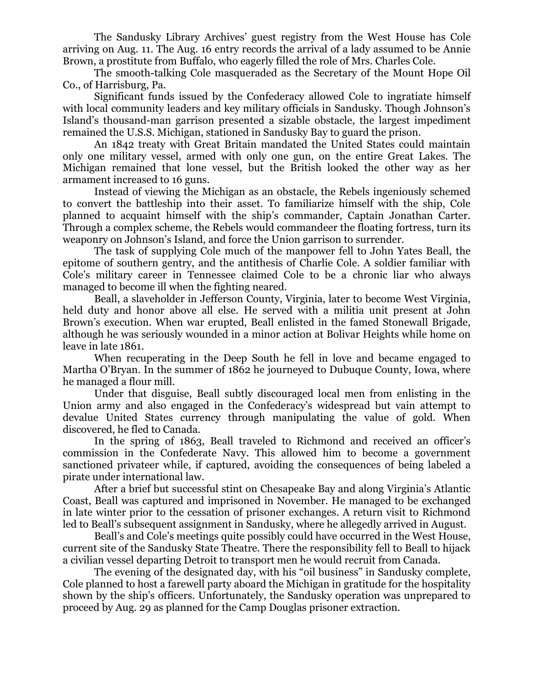The Sandusky Library Archives' guest registry from the West House has Cole arriving on Aug. 11. The Aug. 16 entry records the arrival of a lady assumed to be Annie Brown, a prostitute from Buffalo, who eagerly filled the role of Mrs. Charles Cole.

The smooth-talking Cole masqueraded as the Secretary of the Mount Hope Oil Co., of Harrisburg, Pa.

Significant funds issued by the Confederacy allowed Cole to ingratiate himself with local community leaders and key military officials in Sandusky. Though Johnson's Island's thousand-man garrison presented a sizable obstacle, the largest impediment remained the U.S.S. Michigan, stationed in Sandusky Bay to guard the prison.

An 1842 treaty with Great Britain mandated the United States could maintain only one military vessel, armed with only one gun, on the entire Great Lakes. The Michigan remained that lone vessel, but the British looked the other way as her armament increased to 16 guns.

Instead of viewing the Michigan as an obstacle, the Rebels ingeniously schemed to convert the battleship into their asset. To familiarize himself with the ship, Cole planned to acquaint himself with the ship's commander, Captain Jonathan Carter. Through a complex scheme, the Rebels would commandeer the floating fortress, turn its weaponry on Johnson's Island, and force the Union garrison to surrender.

The task of supplying Cole much of the manpower fell to John Yates Beall, the epitome of southern gentry, and the antithesis of Charlie Cole. A soldier familiar with Cole's military career in Tennessee claimed Cole to be a chronic liar who always managed to become ill when the fighting neared.

Beall, a slaveholder in Jefferson County, Virginia, later to become West Virginia, held duty and honor above all else. He served with a militia unit present at John Brown's execution. When war erupted, Beall enlisted in the famed Stonewall Brigade, although he was seriously wounded in a minor action at Bolivar Heights while home on leave in late 1861.

When recuperating in the Deep South he fell in love and became engaged to Martha O'Bryan. In the summer of 1862 he journeyed to Dubuque County, Iowa, where he managed a flour mill.

Under that disguise, Beall subtly discouraged local men from enlisting in the Union army and also engaged in the Confederacy's widespread but vain attempt to devalue United States currency through manipulating the value of gold. When discovered, he fled to Canada.

In the spring of 1863, Beall traveled to Richmond and received an officer's commission in the Confederate Navy. This allowed him to become a government sanctioned privateer while, if captured, avoiding the consequences of being labeled a pirate under international law.

After a brief but successful stint on Chesapeake Bay and along Virginia's Atlantic Coast, Beall was captured and imprisoned in November. He managed to be exchanged in late winter prior to the cessation of prisoner exchanges. A return visit to Richmond led to Beall's subsequent assignment in Sandusky, where he allegedly arrived in August.

Beall's and Cole's meetings quite possibly could have occurred in the West House, current site of the Sandusky State Theatre. There the responsibility fell to Beall to hijack a civilian vessel departing Detroit to transport men he would recruit from Canada.

The evening of the designated day, with his "oil business" in Sandusky complete, Cole planned to host a farewell party aboard the Michigan in gratitude for the hospitality shown by the ship's officers. Unfortunately, the Sandusky operation was unprepared to proceed by Aug. 29 as planned for the Camp Douglas prisoner extraction.